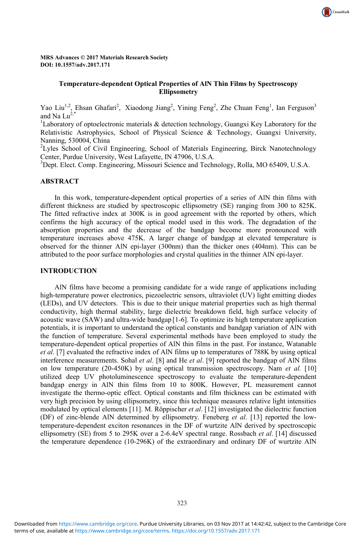

CrossMark

Yao Liu<sup>1,2</sup>, Ehsan Ghafari<sup>2</sup>, Xiaodong Jiang<sup>2</sup>, Yining Feng<sup>2</sup>, Zhe Chuan Feng<sup>1</sup>, Ian Ferguson<sup>3</sup> and Na  $Lu^{2,*}$ 

<sup>1</sup>Laboratory of optoelectronic materials  $\&$  detection technology, Guangxi Key Laboratory for the Relativistic Astrophysics, School of Physical Science & Technology, Guangxi University, Nanning, 530004, China

<sup>2</sup>Lyles School of Civil Engineering, School of Materials Engineering, Birck Nanotechnology Center, Purdue University, West Lafayette, IN 47906, U.S.A.

3 Dept. Elect. Comp. Engineering, Missouri Science and Technology, Rolla, MO 65409, U.S.A.

# **ABSTRACT**

In this work, temperature-dependent optical properties of a series of AlN thin films with different thickness are studied by spectroscopic ellipsometry (SE) ranging from 300 to 825K. The fitted refractive index at 300K is in good agreement with the reported by others, which confirms the high accuracy of the optical model used in this work. The degradation of the absorption properties and the decrease of the bandgap become more pronounced with temperature increases above 475K. A larger change of bandgap at elevated temperature is observed for the thinner AlN epi-layer (300nm) than the thicker ones (404nm). This can be attributed to the poor surface morphologies and crystal qualities in the thinner AlN epi-layer.

### **INTRODUCTION**

AlN films have become a promising candidate for a wide range of applications including high-temperature power electronics, piezoelectric sensors, ultraviolet (UV) light emitting diodes (LEDs), and UV detectors. This is due to their unique material properties such as high thermal conductivity, high thermal stability, large dielectric breakdown field, high surface velocity of acoustic wave (SAW) and ultra-wide bandgap [1-6]. To optimize its high temperature application potentials, it is important to understand the optical constants and bandgap variation of AlN with the function of temperature. Several experimental methods have been employed to study the temperature-dependent optical properties of AlN thin films in the past. For instance, Watanable *et al.* [7] evaluated the refractive index of AlN films up to temperatures of 788K by using optical interference measurements. Sohal *et al*. [8] and He *et al*. [9] reported the bandgap of AlN films on low temperature (20-450K) by using optical transmission spectroscopy. Nam *et al.* [10] utilized deep UV photoluminescence spectroscopy to evaluate the temperature-dependent bandgap energy in AlN thin films from 10 to 800K. However, PL measurement cannot investigate the thermo-optic effect. Optical constants and film thickness can be estimated with very high precision by using ellipsometry, since this technique measures relative light intensities modulated by optical elements [11]. M. Röppischer *et al*. [12] investigated the dielectric function (DF) of zinc-blende AlN determined by ellipsometry. Feneberg *et al*. [13] reported the lowtemperature-dependent exciton resonances in the DF of wurtzite AlN derived by spectroscopic ellipsometry (SE) from 5 to 295K over a 2-6.4eV spectral range. Rossbach *et al*. [14] discussed the temperature dependence (10-296K) of the extraordinary and ordinary DF of wurtzite AlN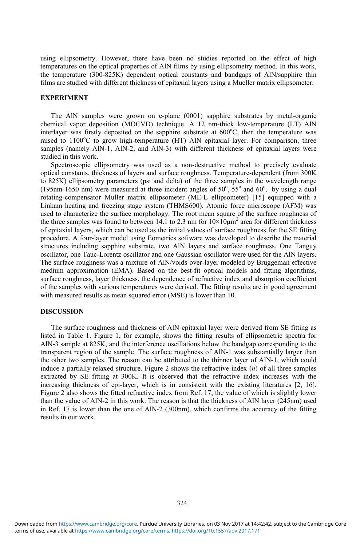using ellipsometry. However, there have been no studies reported on the effect of high temperatures on the optical properties of AlN films by using ellipsometry method. In this work, the temperature (300-825K) dependent optical constants and bandgaps of AlN/sapphire thin films are studied with different thickness of epitaxial layers using a Mueller matrix ellipsometer.

## **EXPERIMENT**

The AlN samples were grown on c-plane (0001) sapphire substrates by metal-organic chemical vapor deposition (MOCVD) technique. A 12 nm-thick low-temperature (LT) AlN interlayer was firstly deposited on the sapphire substrate at 600°C, then the temperature was raised to 1100°C to grow high-temperature (HT) AlN epitaxial layer. For comparison, three samples (namely AlN-1, AlN-2, and AlN-3) with different thickness of epitaxial layers were studied in this work.

Spectroscopic ellipsometry was used as a non-destructive method to precisely evaluate optical constants, thickness of layers and surface roughness. Temperature-dependent (from 300K to 825K) ellipsometry parameters (psi and delta) of the three samples in the wavelength range (195nm-1650 nm) were measured at three incident angles of  $50^\circ$ ,  $55^\circ$  and  $60^\circ$ , by using a dual rotating-compensator Muller matrix ellipsometer (ME-L ellipsometer) [15] equipped with a Linkam heating and freezing stage system (THMS600). Atomic force microscope (AFM) was used to characterize the surface morphology. The root mean square of the surface roughness of the three samples was found to between 14.1 to 2.3 nm for  $10\times10\mu m^2$  area for different thickness of epitaxial layers, which can be used as the initial values of surface roughness for the SE fitting procedure. A four-layer model using Eometrics software was developed to describe the material structures including sapphire substrate, two AlN layers and surface roughness. One Tanguy oscillator, one Tauc-Lorentz oscillator and one Gaussian oscillator were used for the AlN layers. The surface roughness was a mixture of AlN/voids over-layer modeled by Bruggeman effective medium approximation (EMA). Based on the best-fit optical models and fitting algorithms, surface roughness, layer thickness, the dependence of refractive index and absorption coefficient of the samples with various temperatures were derived. The fitting results are in good agreement with measured results as mean squared error (MSE) is lower than 10.

### **DISCUSSION**

The surface roughness and thickness of AlN epitaxial layer were derived from SE fitting as listed in Table 1. Figure 1, for example, shows the fitting results of ellipsometric spectra for AlN-3 sample at 825K, and the interference oscillations below the bandgap corresponding to the transparent region of the sample. The surface roughness of AlN-1 was substantially larger than the other two samples. The reason can be attributed to the thinner layer of AlN-1, which could induce a partially relaxed structure. Figure 2 shows the refractive index (*n*) of all three samples extracted by SE fitting at 300K. It is observed that the refractive index increases with the increasing thickness of epi-layer, which is in consistent with the existing literatures [2, 16]. Figure 2 also shows the fitted refractive index from Ref. 17, the value of which is slightly lower than the value of AlN-2 in this work. The reason is that the thickness of AlN layer (245nm) used in Ref. 17 is lower than the one of AlN-2 (300nm), which confirms the accuracy of the fitting results in our work.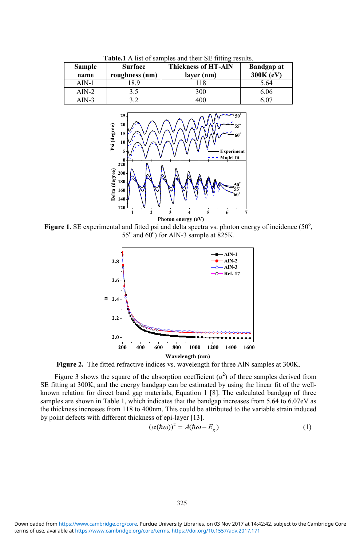| <b>Sample</b><br>name | <b>Surface</b><br>roughness (nm) | <b>Thickness of HT-AIN</b><br>layer (nm) | <b>Bandgap at</b><br>$300K$ (eV) |
|-----------------------|----------------------------------|------------------------------------------|----------------------------------|
| $AlN-1$               | 8.9                              |                                          | 5.64                             |
| Aln-2                 |                                  | 300                                      | 6.06                             |
| AlN-3                 |                                  | 400                                      | S 07                             |

**Table.1** A list of samples and their SE fitting results.



Figure 1. SE experimental and fitted psi and delta spectra vs. photon energy of incidence (50°,  $55^\circ$  and  $60^\circ$ ) for AlN-3 sample at 825K.



**Figure 2.** The fitted refractive indices vs. wavelength for three AlN samples at 300K.

Figure 3 shows the square of the absorption coefficient  $(\alpha^2)$  of three samples derived from SE fitting at 300K, and the energy bandgap can be estimated by using the linear fit of the wellknown relation for direct band gap materials, Equation 1 [8]. The calculated bandgap of three samples are shown in Table 1, which indicates that the bandgap increases from 5.64 to 6.07eV as the thickness increases from 118 to 400nm. This could be attributed to the variable strain induced by point defects with different thickness of epi-layer [13].

$$
(\alpha(\hbar\omega))^2 = A(\hbar\omega - E_g) \tag{1}
$$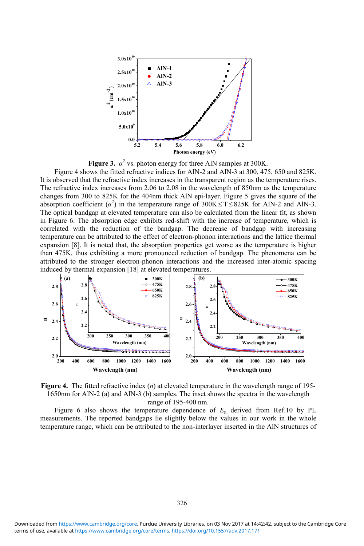

**Figure 3.**  $\alpha^2$  vs. photon energy for three AlN samples at 300K.

Figure 4 shows the fitted refractive indices for AlN-2 and AlN-3 at 300, 475, 650 and 825K. It is observed that the refractive index increases in the transparent region as the temperature rises. The refractive index increases from 2.06 to 2.08 in the wavelength of 850nm as the temperature changes from 300 to 825K for the 404nm thick AlN epi-layer. Figure 5 gives the square of the absorption coefficient  $(\alpha^2)$  in the temperature range of  $300K \le T \le 825K$  for AlN-2 and AlN-3. The optical bandgap at elevated temperature can also be calculated from the linear fit, as shown in Figure 6. The absorption edge exhibits red-shift with the increase of temperature, which is correlated with the reduction of the bandgap. The decrease of bandgap with increasing temperature can be attributed to the effect of electron-phonon interactions and the lattice thermal expansion [8]. It is noted that, the absorption properties get worse as the temperature is higher than 475K, thus exhibiting a more pronounced reduction of bandgap. The phenomena can be attributed to the stronger electron-phonon interactions and the increased inter-atomic spacing induced by thermal expansion [18] at elevated temperatures.



**Figure 4.** The fitted refractive index (*n*) at elevated temperature in the wavelength range of 195- 1650nm for AlN-2 (a) and AlN-3 (b) samples. The inset shows the spectra in the wavelength range of 195-400 nm.

Figure 6 also shows the temperature dependence of  $E<sub>g</sub>$  derived from Ref.10 by PL measurements. The reported bandgaps lie slightly below the values in our work in the whole temperature range, which can be attributed to the non-interlayer inserted in the AlN structures of

terms of use, available at [https://www.cambridge.org/core/terms.](https://www.cambridge.org/core/terms) <https://doi.org/10.1557/adv.2017.171> Downloaded from [https://www.cambridge.org/core.](https://www.cambridge.org/core) Purdue University Libraries, on 03 Nov 2017 at 14:42:42, subject to the Cambridge Core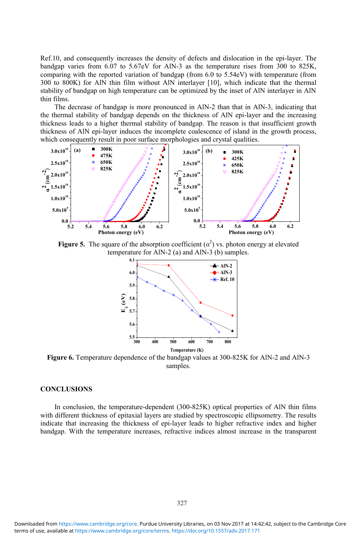Ref.10, and consequently increases the density of defects and dislocation in the epi-layer. The bandgap varies from 6.07 to 5.67eV for AlN-3 as the temperature rises from 300 to 825K, comparing with the reported variation of bandgap (from 6.0 to 5.54eV) with temperature (from 300 to 800K) for AlN thin film without AlN interlayer [10], which indicate that the thermal stability of bandgap on high temperature can be optimized by the inset of AlN interlayer in AlN thin films.

The decrease of bandgap is more pronounced in AlN-2 than that in AlN-3, indicating that the thermal stability of bandgap depends on the thickness of AlN epi-layer and the increasing thickness leads to a higher thermal stability of bandgap. The reason is that insufficient growth thickness of AlN epi-layer induces the incomplete coalescence of island in the growth process, which consequently result in poor surface morphologies and crystal qualities.



**Figure 5.** The square of the absorption coefficient  $(\alpha^2)$  vs. photon energy at elevated temperature for AlN-2 (a) and AlN-3 (b) samples.



**Figure 6.** Temperature dependence of the bandgap values at 300-825K for AlN-2 and AlN-3 samples.

# **CONCLUSIONS**

In conclusion, the temperature-dependent (300-825K) optical properties of AlN thin films with different thickness of epitaxial layers are studied by spectroscopic ellipsometry. The results indicate that increasing the thickness of epi-layer leads to higher refractive index and higher bandgap. With the temperature increases, refractive indices almost increase in the transparent